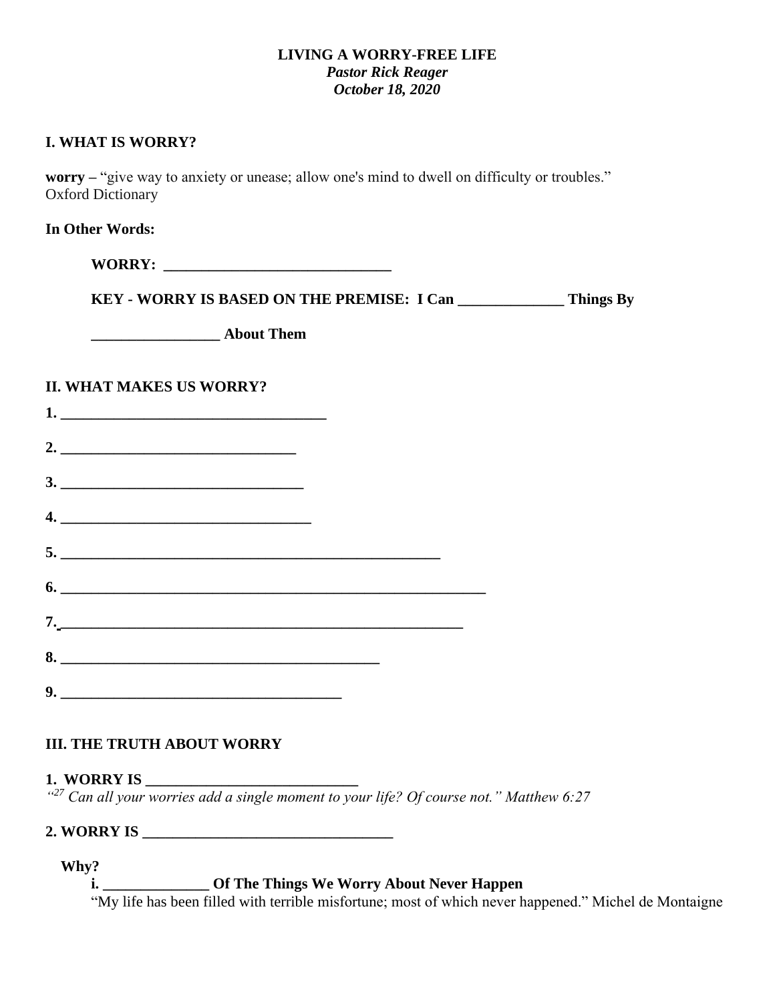#### **LIVING A WORRY-FREE LIFE** *Pastor Rick Reager October 18, 2020*

#### **I. WHAT IS WORRY?**

**worry –** "give way to anxiety or unease; allow one's mind to dwell on difficulty or troubles." Oxford Dictionary

**In Other Words:**

**WORRY: \_\_\_\_\_\_\_\_\_\_\_\_\_\_\_\_\_\_\_\_\_\_\_\_\_\_\_\_\_\_**

**KEY - WORRY IS BASED ON THE PREMISE: I Can \_\_\_\_\_\_\_\_\_\_\_\_\_\_ Things By**

**\_\_\_\_\_\_\_\_\_\_\_\_\_\_\_\_\_ About Them**

## **II. WHAT MAKES US WORRY?**

|    | 1.                          |  |  |
|----|-----------------------------|--|--|
|    | 2. $\overline{\phantom{a}}$ |  |  |
|    |                             |  |  |
|    | $\overline{\mathcal{A}}$ .  |  |  |
|    |                             |  |  |
|    | 6.                          |  |  |
| 7. |                             |  |  |
|    | 8.                          |  |  |
|    |                             |  |  |

## **III. THE TRUTH ABOUT WORRY**

### **1. WORRY IS \_\_\_\_\_\_\_\_\_\_\_\_\_\_\_\_\_\_\_\_\_\_\_\_\_\_\_\_**

*" <sup>27</sup> Can all your worries add a single moment to your life? Of course not." Matthew 6:27*

## **2. WORRY IS \_\_\_\_\_\_\_\_\_\_\_\_\_\_\_\_\_\_\_\_\_\_\_\_\_\_\_\_\_\_\_\_\_**

#### **Why?**

**i. \_\_\_\_\_\_\_\_\_\_\_\_\_\_ Of The Things We Worry About Never Happen**

"My life has been filled with terrible misfortune; most of which never happened." Michel de Montaigne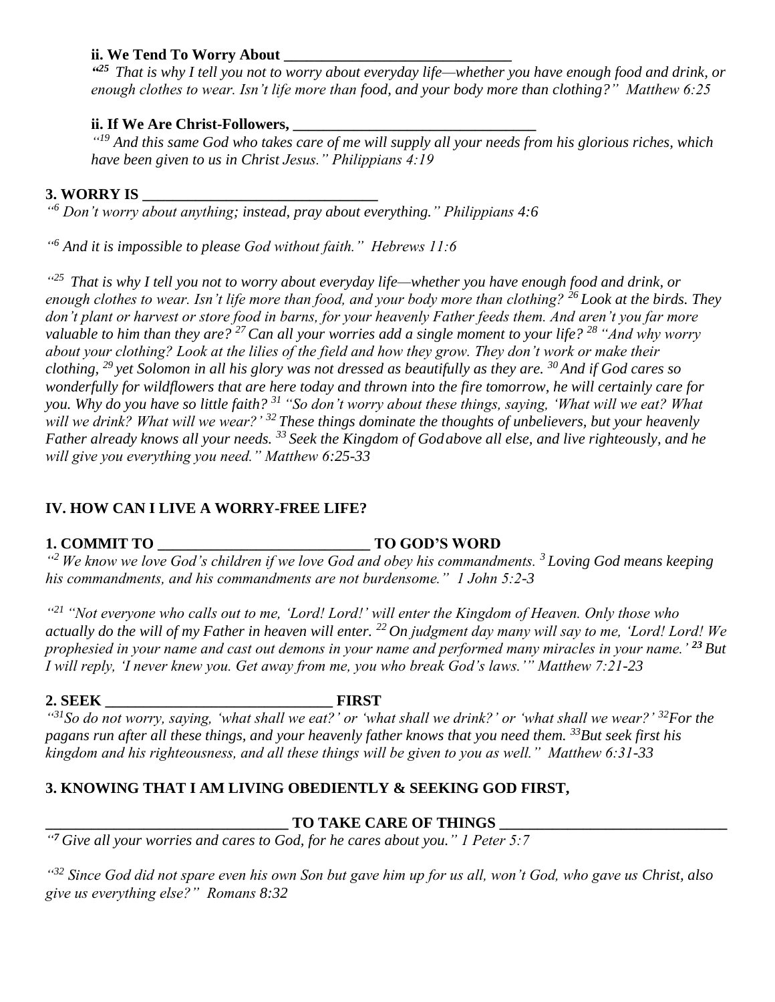#### **ii. We Tend To Worry About**

*" <sup>25</sup> That is why I tell you not to worry about everyday life—whether you have enough food and drink, or enough clothes to wear. Isn't life more than food, and your body more than clothing?" Matthew 6:25*

#### **ii. If We Are Christ-Followers, \_\_\_\_\_\_\_\_\_\_\_\_\_\_\_\_\_\_\_\_\_\_\_\_\_\_\_\_\_\_\_\_**

*" <sup>19</sup> And this same God who takes care of me will supply all your needs from his glorious riches, which have been given to us in Christ Jesus." Philippians 4:19*

## **3. WORRY IS \_\_\_\_\_\_\_\_\_\_\_\_\_\_\_\_\_\_\_\_\_\_\_\_\_\_\_\_\_\_\_**

*" <sup>6</sup> Don't worry about anything; instead, pray about everything." Philippians 4:6*

*" <sup>6</sup> And it is impossible to please God without faith." Hebrews 11:6*

*" <sup>25</sup> That is why I tell you not to worry about everyday life—whether you have enough food and drink, or enough clothes to wear. Isn't life more than food, and your body more than clothing? <sup>26</sup> Look at the birds. They don't plant or harvest or store food in barns, for your heavenly Father feeds them. And aren't you far more valuable to him than they are? <sup>27</sup>Can all your worries add a single moment to your life? <sup>28</sup> "And why worry about your clothing? Look at the lilies of the field and how they grow. They don't work or make their clothing, <sup>29</sup> yet Solomon in all his glory was not dressed as beautifully as they are. <sup>30</sup> And if God cares so wonderfully for wildflowers that are here today and thrown into the fire tomorrow, he will certainly care for you. Why do you have so little faith? <sup>31</sup> "So don't worry about these things, saying, 'What will we eat? What will we drink? What will we wear?' <sup>32</sup> These things dominate the thoughts of unbelievers, but your heavenly Father already knows all your needs. <sup>33</sup> Seek the Kingdom of Godabove all else, and live righteously, and he will give you everything you need." Matthew 6:25-33*

## **IV. HOW CAN I LIVE A WORRY-FREE LIFE?**

# **1. COMMIT TO \_\_\_\_\_\_\_\_\_\_\_\_\_\_\_\_\_\_\_\_\_\_\_\_\_\_\_\_ TO GOD'S WORD**

*" <sup>2</sup> We know we love God's children if we love God and obey his commandments. <sup>3</sup> Loving God means keeping his commandments, and his commandments are not burdensome." 1 John 5:2-3*

<sup>421</sup> "Not everyone who calls out to me, 'Lord! Lord!' will enter the Kingdom of Heaven. Only those who *actually do the will of my Father in heaven will enter. <sup>22</sup> On judgment day many will say to me, 'Lord! Lord! We prophesied in your name and cast out demons in your name and performed many miracles in your name.' <sup>23</sup> But I will reply, 'I never knew you. Get away from me, you who break God's laws.'" Matthew 7:21-23*

### **2. SEEK \_\_\_\_\_\_\_\_\_\_\_\_\_\_\_\_\_\_\_\_\_\_\_\_\_\_\_\_\_\_ FIRST**

*" <sup>31</sup>So do not worry, saying, 'what shall we eat?' or 'what shall we drink?' or 'what shall we wear?' <sup>32</sup>For the pagans run after all these things, and your heavenly father knows that you need them. <sup>33</sup>But seek first his kingdom and his righteousness, and all these things will be given to you as well." Matthew 6:31-33* 

## **3. KNOWING THAT I AM LIVING OBEDIENTLY & SEEKING GOD FIRST,**

## $\bf TO$  TAKE CARE OF THINGS

*" <sup>7</sup> Give all your worries and cares to God, for he cares about you." 1 Peter 5:7*

*" <sup>32</sup> Since God did not spare even his own Son but gave him up for us all, won't God, who gave us Christ, also give us everything else?" Romans 8:32*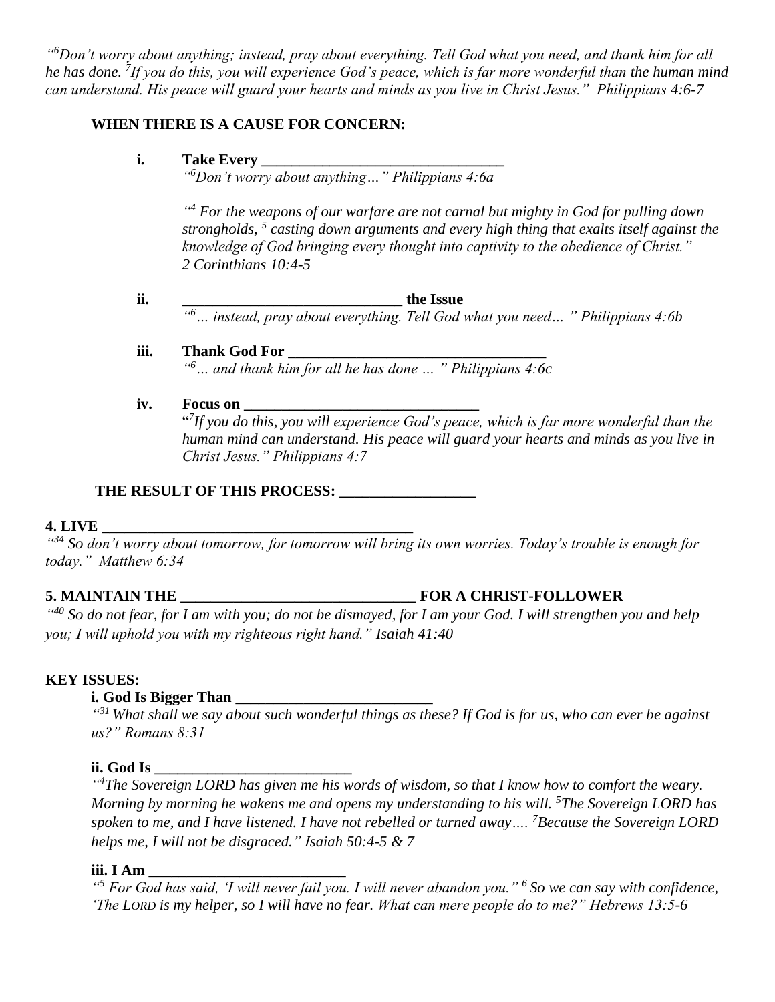*" <sup>6</sup>Don't worry about anything; instead, pray about everything. Tell God what you need, and thank him for all he has done. <sup>7</sup> If you do this, you will experience God's peace, which is far more wonderful than the human mind can understand. His peace will guard your hearts and minds as you live in Christ Jesus." Philippians 4:6-7*

#### **WHEN THERE IS A CAUSE FOR CONCERN:**

#### **i. Take Every \_\_\_\_\_\_\_\_\_\_\_\_\_\_\_\_\_\_\_\_\_\_\_\_\_\_\_\_\_\_\_\_**

*" <sup>6</sup>Don't worry about anything…" Philippians 4:6a*

<sup>44</sup> For the weapons of our warfare are not carnal but mighty in God for pulling down *strongholds, <sup>5</sup> casting down arguments and every high thing that exalts itself against the knowledge of God bringing every thought into captivity to the obedience of Christ." 2 Corinthians 10:4-5*

**ii. \_\_\_\_\_\_\_\_\_\_\_\_\_\_\_\_\_\_\_\_\_\_\_\_\_\_\_\_\_ the Issue** *" <sup>6</sup>… instead, pray about everything. Tell God what you need… " Philippians 4:6b*

#### **iii. Thank God For \_\_\_\_\_\_\_\_\_\_\_\_\_\_\_\_\_\_\_\_\_\_\_\_\_\_\_\_\_\_\_\_\_\_**

*" <sup>6</sup>… and thank him for all he has done … " Philippians 4:6c*

#### **iv. Focus on \_\_\_\_\_\_\_\_\_\_\_\_\_\_\_\_\_\_\_\_\_\_\_\_\_\_\_\_\_\_**

" *7 If you do this, you will experience God's peace, which is far more wonderful than the human mind can understand. His peace will guard your hearts and minds as you live in Christ Jesus." Philippians 4:7*

# **THE RESULT OF THIS PROCESS: \_\_\_\_\_\_\_\_\_\_\_\_\_\_\_\_\_\_**

## **4. LIVE \_\_\_\_\_\_\_\_\_\_\_\_\_\_\_\_\_\_\_\_\_\_\_\_\_\_\_\_\_\_\_\_\_\_\_\_\_\_\_\_\_**

*" <sup>34</sup> So don't worry about tomorrow, for tomorrow will bring its own worries. Today's trouble is enough for today." Matthew 6:34*

# **5. MAINTAIN THE \_\_\_\_\_\_\_\_\_\_\_\_\_\_\_\_\_\_\_\_\_\_\_\_\_\_\_\_\_\_\_ FOR A CHRIST-FOLLOWER**

<sup>440</sup> So do not fear, for I am with you; do not be dismayed, for I am your God. I will strengthen you and help *you; I will uphold you with my righteous right hand." Isaiah 41:40*

#### **KEY ISSUES:**

#### **i.** God Is Bigger Than

*" <sup>31</sup> What shall we say about such wonderful things as these? If God is for us, who can ever be against us?" Romans 8:31*

#### **ii. God Is \_\_\_\_\_\_\_\_\_\_\_\_\_\_\_\_\_\_\_\_\_\_\_\_\_\_**

<sup>44</sup>The Sovereign LORD has given me his words of wisdom, so that I know how to comfort the weary. *Morning by morning he wakens me and opens my understanding to his will. [5](http://biblehub.com/isaiah/50-5.htm)The Sovereign LORD has spoken to me, and I have listened. I have not rebelled or turned away…. [7](http://biblehub.com/isaiah/50-7.htm)Because the Sovereign LORD helps me, I will not be disgraced." Isaiah 50:4-5 & 7*

#### **iii. I Am \_\_\_\_\_\_\_\_\_\_\_\_\_\_\_\_\_\_\_\_\_\_\_\_\_\_**

*" <sup>5</sup> For God has said, 'I will never fail you. I will never abandon you." <sup>6</sup> So we can say with confidence, 'The LORD is my helper, so I will have no fear. What can mere people do to me?" Hebrews 13:5-6*